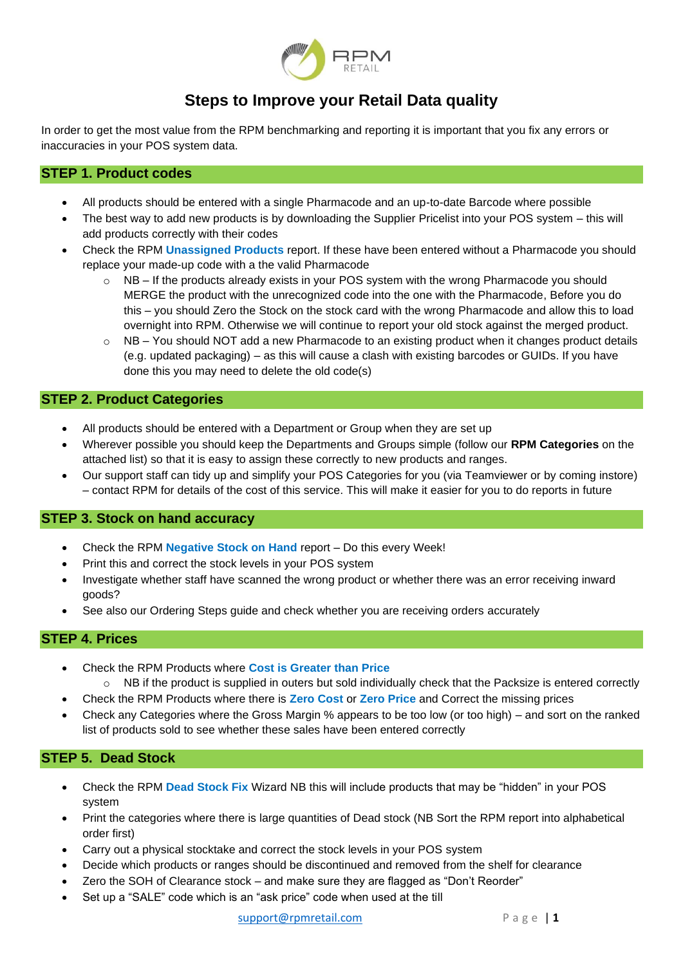

# **Steps to Improve your Retail Data quality**

In order to get the most value from the RPM benchmarking and reporting it is important that you fix any errors or inaccuracies in your POS system data.

## **STEP 1. Product codes**

- All products should be entered with a single Pharmacode and an up-to-date Barcode where possible
- The best way to add new products is by downloading the Supplier Pricelist into your POS system this will add products correctly with their codes
- Check the RPM **Unassigned Products** report. If these have been entered without a Pharmacode you should replace your made-up code with a the valid Pharmacode
	- $\circ$  NB If the products already exists in your POS system with the wrong Pharmacode you should MERGE the product with the unrecognized code into the one with the Pharmacode, Before you do this – you should Zero the Stock on the stock card with the wrong Pharmacode and allow this to load overnight into RPM. Otherwise we will continue to report your old stock against the merged product.
	- $\circ$  NB You should NOT add a new Pharmacode to an existing product when it changes product details (e.g. updated packaging) – as this will cause a clash with existing barcodes or GUIDs. If you have done this you may need to delete the old code(s)

## **STEP 2. Product Categories**

- All products should be entered with a Department or Group when they are set up
- Wherever possible you should keep the Departments and Groups simple (follow our **RPM Categories** on the attached list) so that it is easy to assign these correctly to new products and ranges.
- Our support staff can tidy up and simplify your POS Categories for you (via Teamviewer or by coming instore) – contact RPM for details of the cost of this service. This will make it easier for you to do reports in future

## **STEP 3. Stock on hand accuracy**

- Check the RPM **Negative Stock on Hand** report Do this every Week!
- Print this and correct the stock levels in your POS system
- Investigate whether staff have scanned the wrong product or whether there was an error receiving inward goods?
- See also our Ordering Steps guide and check whether you are receiving orders accurately

## **STEP 4. Prices**

- Check the RPM Products where **Cost is Greater than Price**
	- o NB if the product is supplied in outers but sold individually check that the Packsize is entered correctly
	- Check the RPM Products where there is **Zero Cost** or **Zero Price** and Correct the missing prices
- Check any Categories where the Gross Margin % appears to be too low (or too high) and sort on the ranked list of products sold to see whether these sales have been entered correctly

# **STEP 5. Dead Stock**

- Check the RPM **Dead Stock Fix** Wizard NB this will include products that may be "hidden" in your POS system
- Print the categories where there is large quantities of Dead stock (NB Sort the RPM report into alphabetical order first)
- Carry out a physical stocktake and correct the stock levels in your POS system
- Decide which products or ranges should be discontinued and removed from the shelf for clearance
- Zero the SOH of Clearance stock and make sure they are flagged as "Don't Reorder"
- Set up a "SALE" code which is an "ask price" code when used at the till